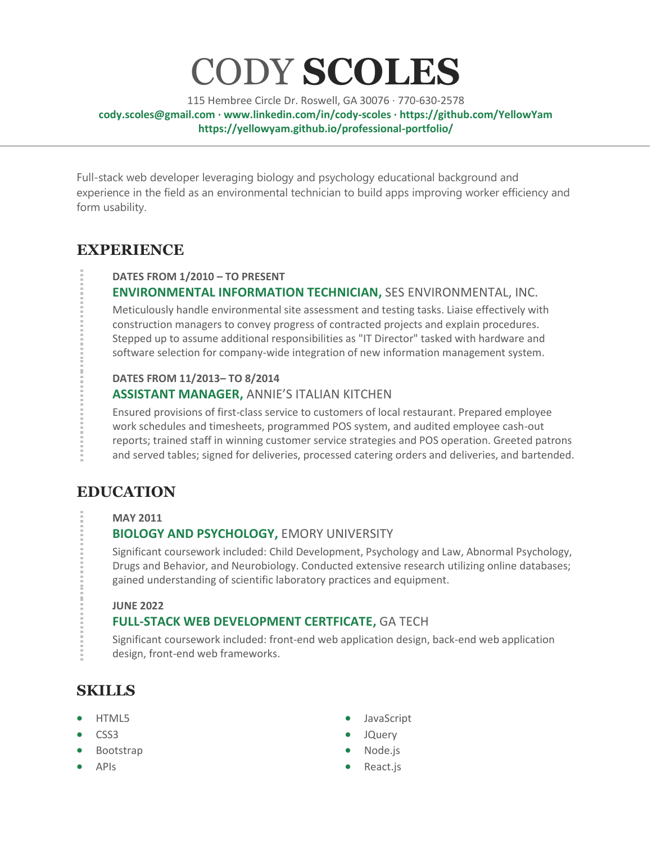# CODY **SCOLES**

115 Hembree Circle Dr. Roswell, GA 30076 · 770-630-2578 **[cody.scoles@gmail.com](cody.scoles@gmail.com%20) · <www.linkedin.com/in/cody-scoles> · <https://github.com/YellowYam> <https://yellowyam.github.io/professional-portfolio/>**

Full-stack web developer leveraging biology and psychology educational background and experience in the field as an environmental technician to build apps improving worker efficiency and form usability.

# **EXPERIENCE**

#### **DATES FROM 1/2010 – TO PRESENT**

## **ENVIRONMENTAL INFORMATION TECHNICIAN,** SES ENVIRONMENTAL, INC.

Meticulously handle environmental site assessment and testing tasks. Liaise effectively with construction managers to convey progress of contracted projects and explain procedures. Stepped up to assume additional responsibilities as "IT Director" tasked with hardware and software selection for company-wide integration of new information management system.

#### **DATES FROM 11/2013– TO 8/2014**

#### **ASSISTANT MANAGER,** ANNIE'S ITALIAN KITCHEN

Ensured provisions of first-class service to customers of local restaurant. Prepared employee work schedules and timesheets, programmed POS system, and audited employee cash-out reports; trained staff in winning customer service strategies and POS operation. Greeted patrons and served tables; signed for deliveries, processed catering orders and deliveries, and bartended.

# **EDUCATION**

#### **MAY 2011**

## **BIOLOGY AND PSYCHOLOGY,** EMORY UNIVERSITY

Significant coursework included: Child Development, Psychology and Law, Abnormal Psychology, Drugs and Behavior, and Neurobiology. Conducted extensive research utilizing online databases; gained understanding of scientific laboratory practices and equipment.

#### **JUNE 2022**

## **FULL-STACK WEB DEVELOPMENT CERTFICATE,** GA TECH

Significant coursework included: front-end web application design, back-end web application design, front-end web frameworks.

# **SKILLS**

- HTML5
- CSS3
- **Bootstrap**
- APIs
- JavaScript
- JQuery
- Node.js
- React.js